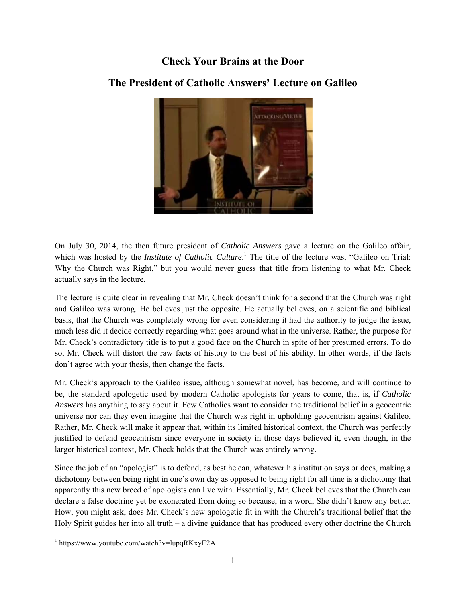## **Check Your Brains at the Door**



## **The President of Catholic Answers' Lecture on Galileo**

On July 30, 2014, the then future president of *Catholic Answers* gave a lecture on the Galileo affair, which was hosted by the *Institute of Catholic Culture*. 1 The title of the lecture was, "Galileo on Trial: Why the Church was Right," but you would never guess that title from listening to what Mr. Check actually says in the lecture.

The lecture is quite clear in revealing that Mr. Check doesn't think for a second that the Church was right and Galileo was wrong. He believes just the opposite. He actually believes, on a scientific and biblical basis, that the Church was completely wrong for even considering it had the authority to judge the issue, much less did it decide correctly regarding what goes around what in the universe. Rather, the purpose for Mr. Check's contradictory title is to put a good face on the Church in spite of her presumed errors. To do so, Mr. Check will distort the raw facts of history to the best of his ability. In other words, if the facts don't agree with your thesis, then change the facts.

Mr. Check's approach to the Galileo issue, although somewhat novel, has become, and will continue to be, the standard apologetic used by modern Catholic apologists for years to come, that is, if *Catholic Answers* has anything to say about it. Few Catholics want to consider the traditional belief in a geocentric universe nor can they even imagine that the Church was right in upholding geocentrism against Galileo. Rather, Mr. Check will make it appear that, within its limited historical context, the Church was perfectly justified to defend geocentrism since everyone in society in those days believed it, even though, in the larger historical context, Mr. Check holds that the Church was entirely wrong.

Since the job of an "apologist" is to defend, as best he can, whatever his institution says or does, making a dichotomy between being right in one's own day as opposed to being right for all time is a dichotomy that apparently this new breed of apologists can live with. Essentially, Mr. Check believes that the Church can declare a false doctrine yet be exonerated from doing so because, in a word, She didn't know any better. How, you might ask, does Mr. Check's new apologetic fit in with the Church's traditional belief that the Holy Spirit guides her into all truth – a divine guidance that has produced every other doctrine the Church

l

<sup>1</sup> https://www.youtube.com/watch?v=lupqRKxyE2A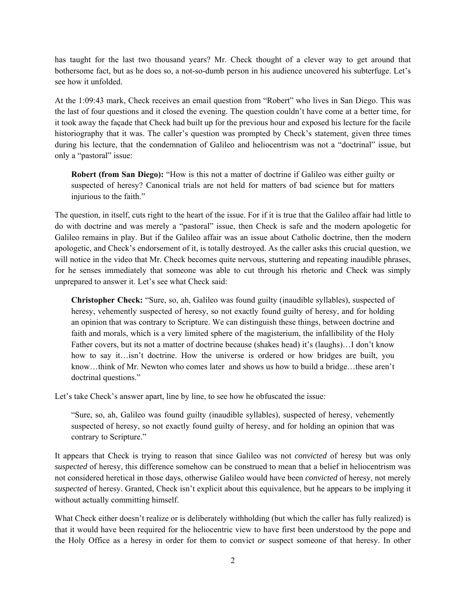has taught for the last two thousand years? Mr. Check thought of a clever way to get around that bothersome fact, but as he does so, a not-so-dumb person in his audience uncovered his subterfuge. Let's see how it unfolded.

At the 1:09:43 mark, Check receives an email question from "Robert" who lives in San Diego. This was the last of four questions and it closed the evening. The question couldn't have come at a better time, for it took away the façade that Check had built up for the previous hour and exposed his lecture for the facile historiography that it was. The caller's question was prompted by Check's statement, given three times during his lecture, that the condemnation of Galileo and heliocentrism was not a "doctrinal" issue, but only a "pastoral" issue:

**Robert (from San Diego):** "How is this not a matter of doctrine if Galileo was either guilty or suspected of heresy? Canonical trials are not held for matters of bad science but for matters injurious to the faith."

The question, in itself, cuts right to the heart of the issue. For if it is true that the Galileo affair had little to do with doctrine and was merely a "pastoral" issue, then Check is safe and the modern apologetic for Galileo remains in play. But if the Galileo affair was an issue about Catholic doctrine, then the modern apologetic, and Check's endorsement of it, is totally destroyed. As the caller asks this crucial question, we will notice in the video that Mr. Check becomes quite nervous, stuttering and repeating inaudible phrases, for he senses immediately that someone was able to cut through his rhetoric and Check was simply unprepared to answer it. Let's see what Check said:

**Christopher Check:** "Sure, so, ah, Galileo was found guilty (inaudible syllables), suspected of heresy, vehemently suspected of heresy, so not exactly found guilty of heresy, and for holding an opinion that was contrary to Scripture. We can distinguish these things, between doctrine and faith and morals, which is a very limited sphere of the magisterium, the infallibility of the Holy Father covers, but its not a matter of doctrine because (shakes head) it's (laughs)…I don't know how to say it…isn't doctrine. How the universe is ordered or how bridges are built, you know…think of Mr. Newton who comes later and shows us how to build a bridge…these aren't doctrinal questions."

Let's take Check's answer apart, line by line, to see how he obfuscated the issue:

"Sure, so, ah, Galileo was found guilty (inaudible syllables), suspected of heresy, vehemently suspected of heresy, so not exactly found guilty of heresy, and for holding an opinion that was contrary to Scripture."

It appears that Check is trying to reason that since Galileo was not *convicted* of heresy but was only *suspected* of heresy, this difference somehow can be construed to mean that a belief in heliocentrism was not considered heretical in those days, otherwise Galileo would have been *convicted* of heresy, not merely *suspected* of heresy. Granted, Check isn't explicit about this equivalence, but he appears to be implying it without actually committing himself.

What Check either doesn't realize or is deliberately withholding (but which the caller has fully realized) is that it would have been required for the heliocentric view to have first been understood by the pope and the Holy Office as a heresy in order for them to convict *or* suspect someone of that heresy. In other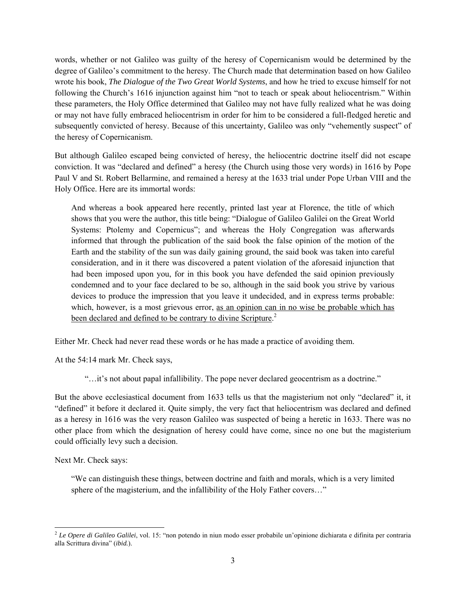words, whether or not Galileo was guilty of the heresy of Copernicanism would be determined by the degree of Galileo's commitment to the heresy. The Church made that determination based on how Galileo wrote his book, *The Dialogue of the Two Great World Systems*, and how he tried to excuse himself for not following the Church's 1616 injunction against him "not to teach or speak about heliocentrism." Within these parameters, the Holy Office determined that Galileo may not have fully realized what he was doing or may not have fully embraced heliocentrism in order for him to be considered a full-fledged heretic and subsequently convicted of heresy. Because of this uncertainty, Galileo was only "vehemently suspect" of the heresy of Copernicanism.

But although Galileo escaped being convicted of heresy, the heliocentric doctrine itself did not escape conviction. It was "declared and defined" a heresy (the Church using those very words) in 1616 by Pope Paul V and St. Robert Bellarmine, and remained a heresy at the 1633 trial under Pope Urban VIII and the Holy Office. Here are its immortal words:

And whereas a book appeared here recently, printed last year at Florence, the title of which shows that you were the author, this title being: "Dialogue of Galileo Galilei on the Great World Systems: Ptolemy and Copernicus"; and whereas the Holy Congregation was afterwards informed that through the publication of the said book the false opinion of the motion of the Earth and the stability of the sun was daily gaining ground, the said book was taken into careful consideration, and in it there was discovered a patent violation of the aforesaid injunction that had been imposed upon you, for in this book you have defended the said opinion previously condemned and to your face declared to be so, although in the said book you strive by various devices to produce the impression that you leave it undecided, and in express terms probable: which, however, is a most grievous error, as an opinion can in no wise be probable which has been declared and defined to be contrary to divine Scripture.<sup>2</sup>

Either Mr. Check had never read these words or he has made a practice of avoiding them.

At the 54:14 mark Mr. Check says,

"…it's not about papal infallibility. The pope never declared geocentrism as a doctrine."

But the above ecclesiastical document from 1633 tells us that the magisterium not only "declared" it, it "defined" it before it declared it. Quite simply, the very fact that heliocentrism was declared and defined as a heresy in 1616 was the very reason Galileo was suspected of being a heretic in 1633. There was no other place from which the designation of heresy could have come, since no one but the magisterium could officially levy such a decision.

Next Mr. Check says:

"We can distinguish these things, between doctrine and faith and morals, which is a very limited sphere of the magisterium, and the infallibility of the Holy Father covers…"

l <sup>2</sup> *Le Opere di Galileo Galilei*, vol. 15: "non potendo in niun modo esser probabile un'opinione dichiarata e difinita per contraria alla Scrittura divina" (*ibid.*).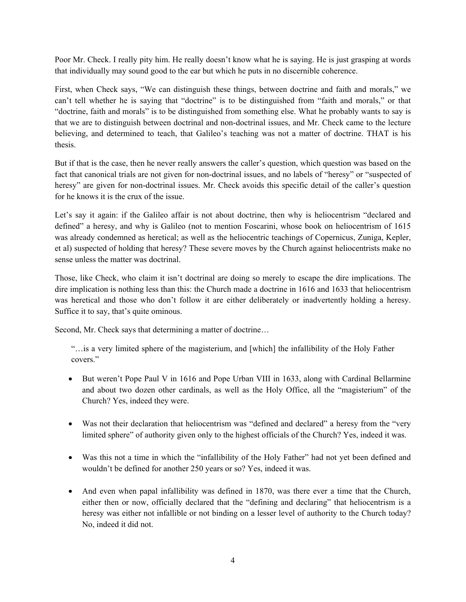Poor Mr. Check. I really pity him. He really doesn't know what he is saying. He is just grasping at words that individually may sound good to the ear but which he puts in no discernible coherence.

First, when Check says, "We can distinguish these things, between doctrine and faith and morals," we can't tell whether he is saying that "doctrine" is to be distinguished from "faith and morals," or that "doctrine, faith and morals" is to be distinguished from something else. What he probably wants to say is that we are to distinguish between doctrinal and non-doctrinal issues, and Mr. Check came to the lecture believing, and determined to teach, that Galileo's teaching was not a matter of doctrine. THAT is his thesis.

But if that is the case, then he never really answers the caller's question, which question was based on the fact that canonical trials are not given for non-doctrinal issues, and no labels of "heresy" or "suspected of heresy" are given for non-doctrinal issues. Mr. Check avoids this specific detail of the caller's question for he knows it is the crux of the issue.

Let's say it again: if the Galileo affair is not about doctrine, then why is heliocentrism "declared and defined" a heresy, and why is Galileo (not to mention Foscarini, whose book on heliocentrism of 1615 was already condemned as heretical; as well as the heliocentric teachings of Copernicus, Zuniga, Kepler, et al) suspected of holding that heresy? These severe moves by the Church against heliocentrists make no sense unless the matter was doctrinal.

Those, like Check, who claim it isn't doctrinal are doing so merely to escape the dire implications. The dire implication is nothing less than this: the Church made a doctrine in 1616 and 1633 that heliocentrism was heretical and those who don't follow it are either deliberately or inadvertently holding a heresy. Suffice it to say, that's quite ominous.

Second, Mr. Check says that determining a matter of doctrine…

"…is a very limited sphere of the magisterium, and [which] the infallibility of the Holy Father covers."

- But weren't Pope Paul V in 1616 and Pope Urban VIII in 1633, along with Cardinal Bellarmine and about two dozen other cardinals, as well as the Holy Office, all the "magisterium" of the Church? Yes, indeed they were.
- Was not their declaration that heliocentrism was "defined and declared" a heresy from the "very limited sphere" of authority given only to the highest officials of the Church? Yes, indeed it was.
- Was this not a time in which the "infallibility of the Holy Father" had not yet been defined and wouldn't be defined for another 250 years or so? Yes, indeed it was.
- And even when papal infallibility was defined in 1870, was there ever a time that the Church, either then or now, officially declared that the "defining and declaring" that heliocentrism is a heresy was either not infallible or not binding on a lesser level of authority to the Church today? No, indeed it did not.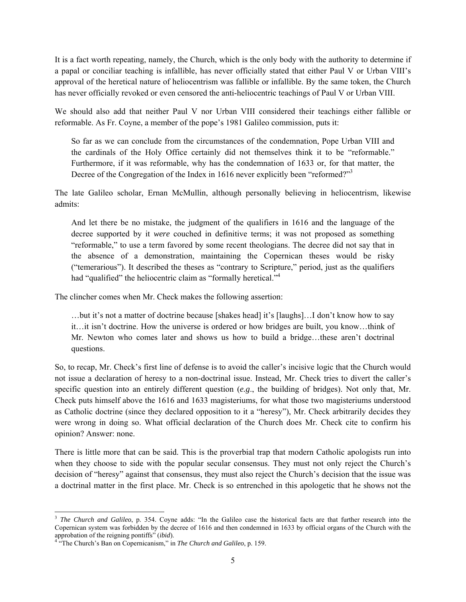It is a fact worth repeating, namely, the Church, which is the only body with the authority to determine if a papal or conciliar teaching is infallible, has never officially stated that either Paul V or Urban VIII's approval of the heretical nature of heliocentrism was fallible or infallible. By the same token, the Church has never officially revoked or even censored the anti-heliocentric teachings of Paul V or Urban VIII.

We should also add that neither Paul V nor Urban VIII considered their teachings either fallible or reformable. As Fr. Coyne, a member of the pope's 1981 Galileo commission, puts it:

So far as we can conclude from the circumstances of the condemnation, Pope Urban VIII and the cardinals of the Holy Office certainly did not themselves think it to be "reformable." Furthermore, if it was reformable, why has the condemnation of 1633 or, for that matter, the Decree of the Congregation of the Index in 1616 never explicitly been "reformed?"<sup>3</sup>

The late Galileo scholar, Ernan McMullin, although personally believing in heliocentrism, likewise admits:

And let there be no mistake, the judgment of the qualifiers in 1616 and the language of the decree supported by it *were* couched in definitive terms; it was not proposed as something "reformable," to use a term favored by some recent theologians. The decree did not say that in the absence of a demonstration, maintaining the Copernican theses would be risky ("temerarious"). It described the theses as "contrary to Scripture," period, just as the qualifiers had "qualified" the heliocentric claim as "formally heretical."<sup>4</sup>

The clincher comes when Mr. Check makes the following assertion:

…but it's not a matter of doctrine because [shakes head] it's [laughs]…I don't know how to say it…it isn't doctrine. How the universe is ordered or how bridges are built, you know…think of Mr. Newton who comes later and shows us how to build a bridge…these aren't doctrinal questions.

So, to recap, Mr. Check's first line of defense is to avoid the caller's incisive logic that the Church would not issue a declaration of heresy to a non-doctrinal issue. Instead, Mr. Check tries to divert the caller's specific question into an entirely different question (*e.g*., the building of bridges). Not only that, Mr. Check puts himself above the 1616 and 1633 magisteriums, for what those two magisteriums understood as Catholic doctrine (since they declared opposition to it a "heresy"), Mr. Check arbitrarily decides they were wrong in doing so. What official declaration of the Church does Mr. Check cite to confirm his opinion? Answer: none.

There is little more that can be said. This is the proverbial trap that modern Catholic apologists run into when they choose to side with the popular secular consensus. They must not only reject the Church's decision of "heresy" against that consensus, they must also reject the Church's decision that the issue was a doctrinal matter in the first place. Mr. Check is so entrenched in this apologetic that he shows not the

l

<sup>&</sup>lt;sup>3</sup> The Church and Galileo, p. 354. Coyne adds: "In the Galileo case the historical facts are that further research into the Copernican system was forbidden by the decree of 1616 and then condemned in 1633 by official organs of the Church with the

approbation of the reigning pontiffs" (*ibid*). 4 "The Church's Ban on Copernicanism," in *The Church and Galileo*, p. 159.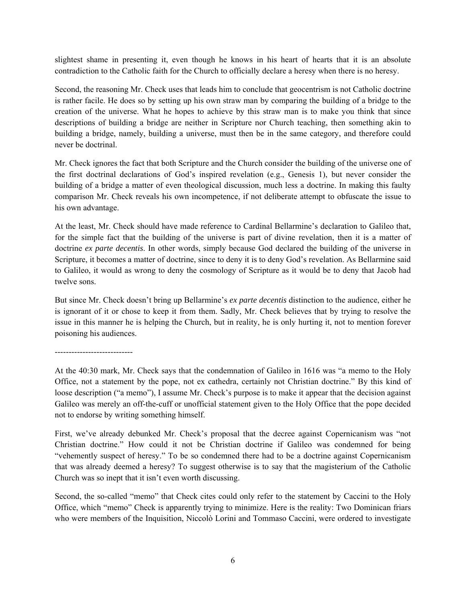slightest shame in presenting it, even though he knows in his heart of hearts that it is an absolute contradiction to the Catholic faith for the Church to officially declare a heresy when there is no heresy.

Second, the reasoning Mr. Check uses that leads him to conclude that geocentrism is not Catholic doctrine is rather facile. He does so by setting up his own straw man by comparing the building of a bridge to the creation of the universe. What he hopes to achieve by this straw man is to make you think that since descriptions of building a bridge are neither in Scripture nor Church teaching, then something akin to building a bridge, namely, building a universe, must then be in the same category, and therefore could never be doctrinal.

Mr. Check ignores the fact that both Scripture and the Church consider the building of the universe one of the first doctrinal declarations of God's inspired revelation (e.g., Genesis 1), but never consider the building of a bridge a matter of even theological discussion, much less a doctrine. In making this faulty comparison Mr. Check reveals his own incompetence, if not deliberate attempt to obfuscate the issue to his own advantage.

At the least, Mr. Check should have made reference to Cardinal Bellarmine's declaration to Galileo that, for the simple fact that the building of the universe is part of divine revelation, then it is a matter of doctrine *ex parte decentis*. In other words, simply because God declared the building of the universe in Scripture, it becomes a matter of doctrine, since to deny it is to deny God's revelation. As Bellarmine said to Galileo, it would as wrong to deny the cosmology of Scripture as it would be to deny that Jacob had twelve sons.

But since Mr. Check doesn't bring up Bellarmine's *ex parte decentis* distinction to the audience, either he is ignorant of it or chose to keep it from them. Sadly, Mr. Check believes that by trying to resolve the issue in this manner he is helping the Church, but in reality, he is only hurting it, not to mention forever poisoning his audiences.

----------------------------

At the 40:30 mark, Mr. Check says that the condemnation of Galileo in 1616 was "a memo to the Holy Office, not a statement by the pope, not ex cathedra, certainly not Christian doctrine." By this kind of loose description ("a memo"), I assume Mr. Check's purpose is to make it appear that the decision against Galileo was merely an off-the-cuff or unofficial statement given to the Holy Office that the pope decided not to endorse by writing something himself.

First, we've already debunked Mr. Check's proposal that the decree against Copernicanism was "not Christian doctrine." How could it not be Christian doctrine if Galileo was condemned for being "vehemently suspect of heresy." To be so condemned there had to be a doctrine against Copernicanism that was already deemed a heresy? To suggest otherwise is to say that the magisterium of the Catholic Church was so inept that it isn't even worth discussing.

Second, the so-called "memo" that Check cites could only refer to the statement by Caccini to the Holy Office, which "memo" Check is apparently trying to minimize. Here is the reality: Two Dominican friars who were members of the Inquisition, Niccolò Lorini and Tommaso Caccini, were ordered to investigate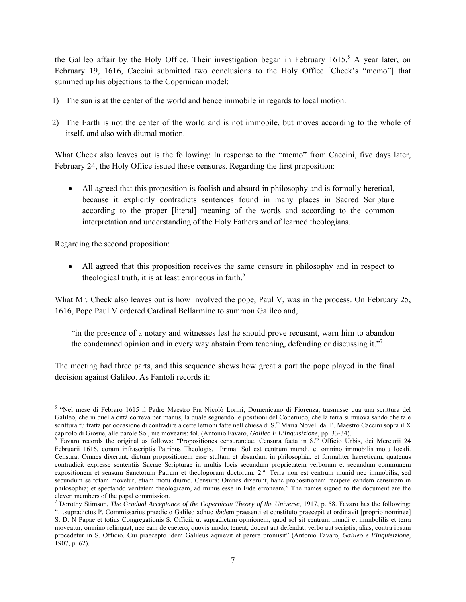the Galileo affair by the Holy Office. Their investigation began in February 1615.<sup>5</sup> A year later, on February 19, 1616, Caccini submitted two conclusions to the Holy Office [Check's "memo"] that summed up his objections to the Copernican model:

- 1) The sun is at the center of the world and hence immobile in regards to local motion.
- 2) The Earth is not the center of the world and is not immobile, but moves according to the whole of itself, and also with diurnal motion.

What Check also leaves out is the following: In response to the "memo" from Caccini, five days later, February 24, the Holy Office issued these censures. Regarding the first proposition:

 All agreed that this proposition is foolish and absurd in philosophy and is formally heretical, because it explicitly contradicts sentences found in many places in Sacred Scripture according to the proper [literal] meaning of the words and according to the common interpretation and understanding of the Holy Fathers and of learned theologians.

Regarding the second proposition:

 All agreed that this proposition receives the same censure in philosophy and in respect to theological truth, it is at least erroneous in faith. $<sup>6</sup>$ </sup>

What Mr. Check also leaves out is how involved the pope, Paul V, was in the process. On February 25, 1616, Pope Paul V ordered Cardinal Bellarmine to summon Galileo and,

"in the presence of a notary and witnesses lest he should prove recusant, warn him to abandon the condemned opinion and in every way abstain from teaching, defending or discussing it."

The meeting had three parts, and this sequence shows how great a part the pope played in the final decision against Galileo. As Fantoli records it:

 5 "Nel mese di Febraro 1615 il Padre Maestro Fra Nicolò Lorini, Domenicano di Fiorenza, trasmisse qua una scrittura del Galileo, che in quella città correva per manus, la quale seguendo le positioni del Copernico, che la terra si muova sando che tale scrittura fu fratta per occasione di contradire a certe lettioni fatte nell chiesa di S.<sup>ta</sup> Maria Novell dal P. Maestro Caccini sopra il X

capitolo di Giosue, alle parole Sol, me movearis: fol. (Antonio Favaro, *Galileo E L'Inquisizione*, pp. 33-34).<br><sup>6</sup> Favaro records the original as follows: "Propositiones censurandae. Censura facta in S.<sup>to</sup> Officio Urbis, Februarii 1616, coram infrascriptis Patribus Theologis. Prima: Sol est centrum mundi, et omnino immobilis motu locali. Censura: Omnes dixerunt, dictum propositionem esse stultam et absurdam in philosophia, et formaliter haereticam, quatenus contradicit expresse sententiis Sacrae Scripturae in multis locis secundum proprietatem verborum et secundum communem expositionem et sensum Sanctorum Patrum et theologorum doctorum. 2.<sup>a</sup>: Terra non est centrum munid nec immobilis, sed secundum se totam movetur, etiam motu diurno. Censura: Omnes dixerunt, hanc propositionem recipere eandem censuram in philosophia; et spectando veritatem theologicam, ad minus esse in Fide erroneam." The names signed to the document are the eleven members of the papal commission.

<sup>7</sup> Dorothy Stimson, *The Gradual Acceptance of the Copernican Theory of the Universe*, 1917, p. 58. Favaro has the following: "…supradictus P. Commissarius praedicto Galileo adhuc *ibid*em praesenti et constituto praecepit et ordinavit [proprio nominee] S. D. N Papae et totius Congregationis S. Officii, ut supradictam opinionem, quod sol sit centrum mundi et immbolilis et terra moveatur, omnino relinquat, nec eam de caetero, quovis modo, teneat, doceat aut defendat, verbo aut scriptis; alias, contra ipsum procedetur in S. Officio. Cui praecepto idem Galileus aquievit et parere promisit" (Antonio Favaro*, Galileo e l'Inquisizione,*  1907, p. 62).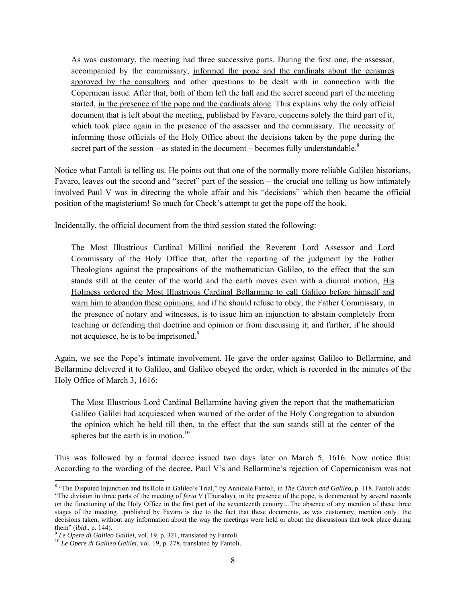As was customary, the meeting had three successive parts. During the first one, the assessor, accompanied by the commissary, informed the pope and the cardinals about the censures approved by the consultors and other questions to be dealt with in connection with the Copernican issue. After that, both of them left the hall and the secret second part of the meeting started, in the presence of the pope and the cardinals alone. This explains why the only official document that is left about the meeting, published by Favaro, concerns solely the third part of it, which took place again in the presence of the assessor and the commissary. The necessity of informing those officials of the Holy Office about the decisions taken by the pope during the secret part of the session – as stated in the document – becomes fully understandable.<sup>8</sup>

Notice what Fantoli is telling us. He points out that one of the normally more reliable Galileo historians, Favaro, leaves out the second and "secret" part of the session – the crucial one telling us how intimately involved Paul V was in directing the whole affair and his "decisions" which then became the official position of the magisterium! So much for Check's attempt to get the pope off the hook.

Incidentally, the official document from the third session stated the following:

The Most Illustrious Cardinal Millini notified the Reverent Lord Assessor and Lord Commissary of the Holy Office that, after the reporting of the judgment by the Father Theologians against the propositions of the mathematician Galileo, to the effect that the sun stands still at the center of the world and the earth moves even with a diurnal motion, His Holiness ordered the Most Illustrious Cardinal Bellarmine to call Galileo before himself and warn him to abandon these opinions; and if he should refuse to obey, the Father Commissary, in the presence of notary and witnesses, is to issue him an injunction to abstain completely from teaching or defending that doctrine and opinion or from discussing it; and further, if he should not acquiesce, he is to be imprisoned. $9$ 

Again, we see the Pope's intimate involvement. He gave the order against Galileo to Bellarmine, and Bellarmine delivered it to Galileo, and Galileo obeyed the order, which is recorded in the minutes of the Holy Office of March 3, 1616:

The Most Illustrious Lord Cardinal Bellarmine having given the report that the mathematician Galileo Galilei had acquiesced when warned of the order of the Holy Congregation to abandon the opinion which he held till then, to the effect that the sun stands still at the center of the spheres but the earth is in motion. $10$ 

This was followed by a formal decree issued two days later on March 5, 1616. Now notice this: According to the wording of the decree, Paul V's and Bellarmine's rejection of Copernicanism was not

 8 "The Disputed Injunction and Its Role in Galileo's Trial," by Annibale Fantoli, in *The Church and Galileo*, p. 118. Fantoli adds: "The division in three parts of the meeting of *feria V* (Thursday), in the presence of the pope, is documented by several records on the functioning of the Holy Office in the first part of the seventeenth century…The absence of any mention of these three stages of the meeting...published by Favaro is due to the fact that these documents, as was customary, mention only the decisions taken, without any information about the way the meetings were held or about the discussions that took place during

them" (*ibid*., p. 144). 9 *Le Opere di Galileo Galilei*, vol. 19, p. 321, translated by Fantoli. 10 *Le Opere di Galileo Galilei*, vol. 19, p. 278, translated by Fantoli.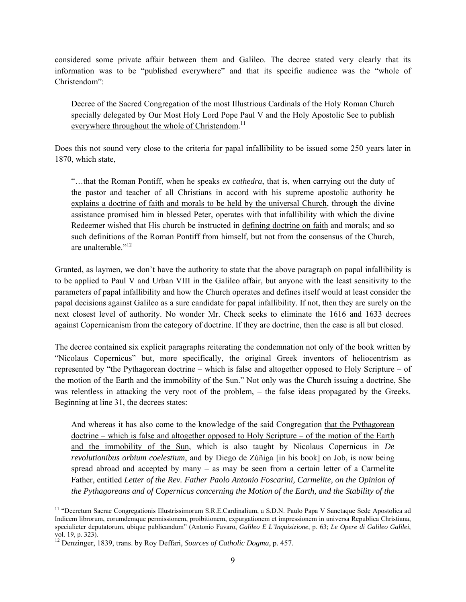considered some private affair between them and Galileo. The decree stated very clearly that its information was to be "published everywhere" and that its specific audience was the "whole of Christendom":

Decree of the Sacred Congregation of the most Illustrious Cardinals of the Holy Roman Church specially delegated by Our Most Holy Lord Pope Paul V and the Holy Apostolic See to publish everywhere throughout the whole of Christendom.<sup>11</sup>

Does this not sound very close to the criteria for papal infallibility to be issued some 250 years later in 1870, which state,

"…that the Roman Pontiff, when he speaks *ex cathedra*, that is, when carrying out the duty of the pastor and teacher of all Christians in accord with his supreme apostolic authority he explains a doctrine of faith and morals to be held by the universal Church, through the divine assistance promised him in blessed Peter, operates with that infallibility with which the divine Redeemer wished that His church be instructed in defining doctrine on faith and morals; and so such definitions of the Roman Pontiff from himself, but not from the consensus of the Church, are unalterable."<sup>12</sup>

Granted, as laymen, we don't have the authority to state that the above paragraph on papal infallibility is to be applied to Paul V and Urban VIII in the Galileo affair, but anyone with the least sensitivity to the parameters of papal infallibility and how the Church operates and defines itself would at least consider the papal decisions against Galileo as a sure candidate for papal infallibility. If not, then they are surely on the next closest level of authority. No wonder Mr. Check seeks to eliminate the 1616 and 1633 decrees against Copernicanism from the category of doctrine. If they are doctrine, then the case is all but closed.

The decree contained six explicit paragraphs reiterating the condemnation not only of the book written by "Nicolaus Copernicus" but, more specifically, the original Greek inventors of heliocentrism as represented by "the Pythagorean doctrine – which is false and altogether opposed to Holy Scripture – of the motion of the Earth and the immobility of the Sun." Not only was the Church issuing a doctrine, She was relentless in attacking the very root of the problem, – the false ideas propagated by the Greeks. Beginning at line 31, the decrees states:

And whereas it has also come to the knowledge of the said Congregation that the Pythagorean doctrine – which is false and altogether opposed to Holy Scripture – of the motion of the Earth and the immobility of the Sun, which is also taught by Nicolaus Copernicus in *De revolutionibus orbium coelestium*, and by Diego de Zúñiga [in his book] on Job, is now being spread abroad and accepted by many – as may be seen from a certain letter of a Carmelite Father, entitled *Letter of the Rev. Father Paolo Antonio Foscarini, Carmelite, on the Opinion of the Pythagoreans and of Copernicus concerning the Motion of the Earth, and the Stability of the* 

<sup>-</sup><sup>11</sup> "Decretum Sacrae Congregationis Illustrissimorum S.R.E.Cardinalium, a S.D.N. Paulo Papa V Sanctaque Sede Apostolica ad Indicem librorum, eorumdemque permissionem, proibitionem, expurgationem et impressionem in universa Republica Christiana, specialieter deputatorum, ubique publicandum" (Antonio Favaro, *Galileo E L'Inquisizione*, p. 63; *Le Opere di Galileo Galilei*, vol. 19, p. 323).

<sup>12</sup> Denzinger, 1839, trans. by Roy Deffari, *Sources of Catholic Dogma*, p. 457.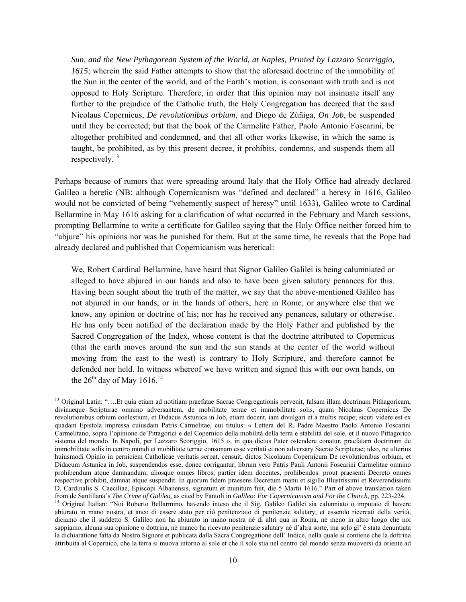*Sun, and the New Pythagorean System of the World, at Naples, Printed by Lazzaro Scorriggio, 1615*; wherein the said Father attempts to show that the aforesaid doctrine of the immobility of the Sun in the center of the world, and of the Earth's motion, is consonant with truth and is not opposed to Holy Scripture. Therefore, in order that this opinion may not insinuate itself any further to the prejudice of the Catholic truth, the Holy Congregation has decreed that the said Nicolaus Copernicus, *De revolutionibus orbium*, and Diego de Zúñiga, *On Job*, be suspended until they be corrected; but that the book of the Carmelite Father, Paolo Antonio Foscarini, be altogether prohibited and condemned, and that all other works likewise, in which the same is taught, be prohibited, as by this present decree, it prohibits, condemns, and suspends them all respectively.13

Perhaps because of rumors that were spreading around Italy that the Holy Office had already declared Galileo a heretic (NB: although Copernicanism was "defined and declared" a heresy in 1616, Galileo would not be convicted of being "vehemently suspect of heresy" until 1633), Galileo wrote to Cardinal Bellarmine in May 1616 asking for a clarification of what occurred in the February and March sessions, prompting Bellarmine to write a certificate for Galileo saying that the Holy Office neither forced him to "abjure" his opinions nor was he punished for them. But at the same time, he reveals that the Pope had already declared and published that Copernicanism was heretical:

We, Robert Cardinal Bellarmine, have heard that Signor Galileo Galilei is being calumniated or alleged to have abjured in our hands and also to have been given salutary penances for this. Having been sought about the truth of the matter, we say that the above-mentioned Galileo has not abjured in our hands, or in the hands of others, here in Rome, or anywhere else that we know, any opinion or doctrine of his; nor has he received any penances, salutary or otherwise. He has only been notified of the declaration made by the Holy Father and published by the Sacred Congregation of the Index, whose content is that the doctrine attributed to Copernicus (that the earth moves around the sun and the sun stands at the center of the world without moving from the east to the west) is contrary to Holy Scripture, and therefore cannot be defended nor held. In witness whereof we have written and signed this with our own hands, on the  $26<sup>th</sup>$  day of May 1616.<sup>14</sup>

1

<sup>&</sup>lt;sup>13</sup> Original Latin: "....Et quia etiam ad notitiam praefatae Sacrae Congregationis pervenit, falsam illam doctrinam Pithagoricam, divinaeque Scripturae omnino adversantem, de mobilitate terrae et immobilitate solis, quam Nicolaus Copernicus De revolutionibus orbium coelestium, et Didacus Astunica in Job, etiam docent, iam divulgari et a multis recipe; sicuti videre est ex quadam Epistola impressa cuiusdam Patris Carmelitae, cui titulus: « Lettera del R. Padre Maestro Paolo Antonio Foscarini Carmelitano, sopra l'opinione de'Pittagorici e del Copernico della mobilità della terra e stabilità del sole, et il nuovo Pittagorico sistema del mondo. In Napoli, per Lazzaro Scoriggio, 1615 », in qua dictus Pater ostendere conatur, praefatam doctrinam de immobilitate solis in centro mundi et mobilitate terrae consonam esse veritati et non adversary Sacrae Scripturae; ideo, ne ulterius huiusmodi Opinio in perniciem Catholicae veritatis serpat, censuit, dictos Nicolaum Copernicum De revolutionibus orbium, et Didacum Astunica in Job, suspendendos esse, donec corrigantur; librum vero Patris Pauli Antonii Foscarini Carmelitae omnino prohibendum atque damnandum; aliosque omnes libros, partier idem docentes, prohibendos: prout praesenti Decreto omnes respective prohibit, damnat atque suspendit. In quorum fidem praesens Decretum manu et sigillo Illustrissimi et Reverendissimi D. Cardinalis S. Caeciliae, Episcopi Albanensis, signatum et munitum fuit, die 5 Martii 1616." Part of above translation taken from de Santillana's The Crime of Galileo, as cited by Fantoli in Galileo: For Copernicanism an

<sup>&</sup>lt;sup>14</sup> Original Italian: "Noi Roberto Bellarmino, havendo inteso che il Sig. Galileo Galilei sia calunniato o imputato di havere abiurato in mano nostra, et anco di essere stato per ciò penitenziato di penitenzie salutary, et essendo ricercati della verità, diciamo che il suddetto S. Galileo non ha abiurato in mano nostra nè di altri qua in Roma, nè meno in altro luogo che noi sappiamo, alcuna sua opinione o dottrina, nè manco ha ricevuto penitenzie salutary nè d'altra sorte, ma solo gl' è stata denuntiata la dichiaratione fatta da Nostro Signore et publicata dalla Sacra Congregatione dell' Indice, nella quale si contiene che la dottrina attribuita al Copernico, che la terra si muova intorno al sole et che il sole stia nel centro del mondo senza muoversi da oriente ad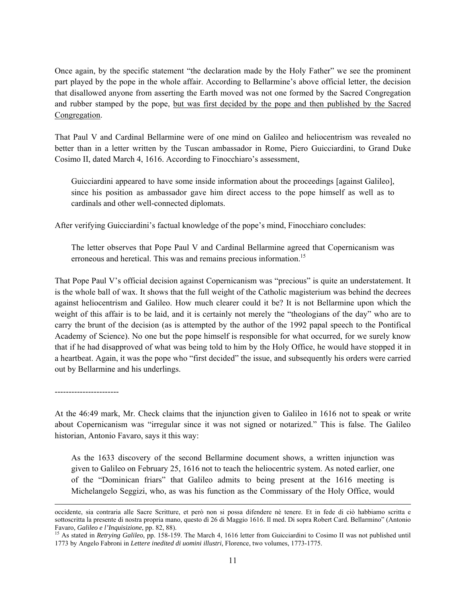Once again, by the specific statement "the declaration made by the Holy Father" we see the prominent part played by the pope in the whole affair. According to Bellarmine's above official letter, the decision that disallowed anyone from asserting the Earth moved was not one formed by the Sacred Congregation and rubber stamped by the pope, but was first decided by the pope and then published by the Sacred Congregation.

That Paul V and Cardinal Bellarmine were of one mind on Galileo and heliocentrism was revealed no better than in a letter written by the Tuscan ambassador in Rome, Piero Guicciardini, to Grand Duke Cosimo II, dated March 4, 1616. According to Finocchiaro's assessment,

Guicciardini appeared to have some inside information about the proceedings [against Galileo], since his position as ambassador gave him direct access to the pope himself as well as to cardinals and other well-connected diplomats.

After verifying Guicciardini's factual knowledge of the pope's mind, Finocchiaro concludes:

The letter observes that Pope Paul V and Cardinal Bellarmine agreed that Copernicanism was erroneous and heretical. This was and remains precious information.<sup>15</sup>

That Pope Paul V's official decision against Copernicanism was "precious" is quite an understatement. It is the whole ball of wax. It shows that the full weight of the Catholic magisterium was behind the decrees against heliocentrism and Galileo. How much clearer could it be? It is not Bellarmine upon which the weight of this affair is to be laid, and it is certainly not merely the "theologians of the day" who are to carry the brunt of the decision (as is attempted by the author of the 1992 papal speech to the Pontifical Academy of Science). No one but the pope himself is responsible for what occurred, for we surely know that if he had disapproved of what was being told to him by the Holy Office, he would have stopped it in a heartbeat. Again, it was the pope who "first decided" the issue, and subsequently his orders were carried out by Bellarmine and his underlings.

-----------------------

At the 46:49 mark, Mr. Check claims that the injunction given to Galileo in 1616 not to speak or write about Copernicanism was "irregular since it was not signed or notarized." This is false. The Galileo historian, Antonio Favaro, says it this way:

As the 1633 discovery of the second Bellarmine document shows, a written injunction was given to Galileo on February 25, 1616 not to teach the heliocentric system. As noted earlier, one of the "Dominican friars" that Galileo admits to being present at the 1616 meeting is Michelangelo Seggizi, who, as was his function as the Commissary of the Holy Office, would

occidente, sia contraria alle Sacre Scritture, et però non si possa difendere nè tenere. Et in fede di ciò habbiamo scritta e sottoscritta la presente di nostra propria mano, questo dì 26 di Maggio 1616. Il med. Di sopra Robert Card. Bellarmino" (Antonio Favaro, Galileo e l'Inquisizione, pp. 82, 88).<br><sup>15</sup> As stated in *Retrying Galileo*, pp. 158-159. The March 4, 1616 letter from Guicciardini to Cosimo II was not published until

<sup>1773</sup> by Angelo Fabroni in *Lettere inedited di uomini illustri*, Florence, two volumes, 1773-1775.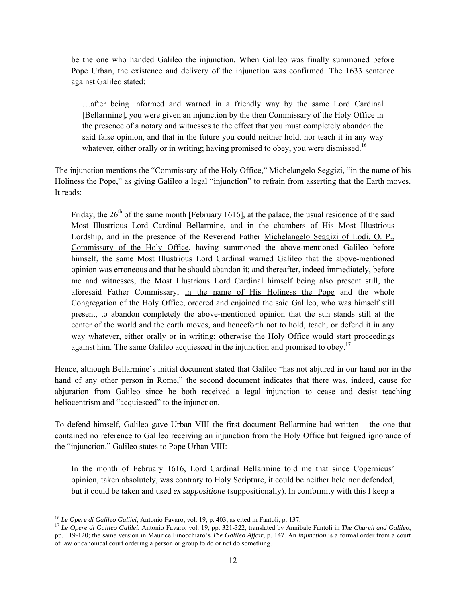be the one who handed Galileo the injunction. When Galileo was finally summoned before Pope Urban, the existence and delivery of the injunction was confirmed. The 1633 sentence against Galileo stated:

…after being informed and warned in a friendly way by the same Lord Cardinal [Bellarmine], you were given an injunction by the then Commissary of the Holy Office in the presence of a notary and witnesses to the effect that you must completely abandon the said false opinion, and that in the future you could neither hold, nor teach it in any way whatever, either orally or in writing; having promised to obey, you were dismissed.<sup>16</sup>

The injunction mentions the "Commissary of the Holy Office," Michelangelo Seggizi, "in the name of his Holiness the Pope," as giving Galileo a legal "injunction" to refrain from asserting that the Earth moves. It reads:

Friday, the  $26<sup>th</sup>$  of the same month [February 1616], at the palace, the usual residence of the said Most Illustrious Lord Cardinal Bellarmine, and in the chambers of His Most Illustrious Lordship, and in the presence of the Reverend Father Michelangelo Seggizi of Lodi, O. P., Commissary of the Holy Office, having summoned the above-mentioned Galileo before himself, the same Most Illustrious Lord Cardinal warned Galileo that the above-mentioned opinion was erroneous and that he should abandon it; and thereafter, indeed immediately, before me and witnesses, the Most Illustrious Lord Cardinal himself being also present still, the aforesaid Father Commissary, in the name of His Holiness the Pope and the whole Congregation of the Holy Office, ordered and enjoined the said Galileo, who was himself still present, to abandon completely the above-mentioned opinion that the sun stands still at the center of the world and the earth moves, and henceforth not to hold, teach, or defend it in any way whatever, either orally or in writing; otherwise the Holy Office would start proceedings against him. The same Galileo acquiesced in the injunction and promised to obey.<sup>17</sup>

Hence, although Bellarmine's initial document stated that Galileo "has not abjured in our hand nor in the hand of any other person in Rome," the second document indicates that there was, indeed, cause for abjuration from Galileo since he both received a legal injunction to cease and desist teaching heliocentrism and "acquiesced" to the injunction.

To defend himself, Galileo gave Urban VIII the first document Bellarmine had written – the one that contained no reference to Galileo receiving an injunction from the Holy Office but feigned ignorance of the "injunction." Galileo states to Pope Urban VIII:

In the month of February 1616, Lord Cardinal Bellarmine told me that since Copernicus' opinion, taken absolutely, was contrary to Holy Scripture, it could be neither held nor defended, but it could be taken and used *ex suppositione* (suppositionally). In conformity with this I keep a

<sup>&</sup>lt;sup>16</sup> Le Opere di Galileo Galilei, Antonio Favaro, vol. 19, p. 403, as cited in Fantoli, p. 137.

<sup>&</sup>lt;sup>17</sup> Le Opere di Galileo Galilei, Antonio Favaro, vol. 19, pp. 321-322, translated by Annibale Fantoli in The Church and Galileo, pp. 119-120; the same version in Maurice Finocchiaro's *The Galileo Affair*, p. 147. An *injunction* is a formal order from a court of law or canonical court ordering a person or group to do or not do something.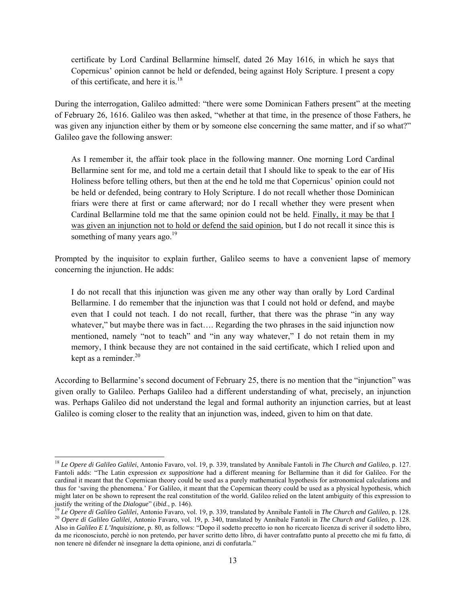certificate by Lord Cardinal Bellarmine himself, dated 26 May 1616, in which he says that Copernicus' opinion cannot be held or defended, being against Holy Scripture. I present a copy of this certificate, and here it is.<sup>18</sup>

During the interrogation, Galileo admitted: "there were some Dominican Fathers present" at the meeting of February 26, 1616. Galileo was then asked, "whether at that time, in the presence of those Fathers, he was given any injunction either by them or by someone else concerning the same matter, and if so what?" Galileo gave the following answer:

As I remember it, the affair took place in the following manner. One morning Lord Cardinal Bellarmine sent for me, and told me a certain detail that I should like to speak to the ear of His Holiness before telling others, but then at the end he told me that Copernicus' opinion could not be held or defended, being contrary to Holy Scripture. I do not recall whether those Dominican friars were there at first or came afterward; nor do I recall whether they were present when Cardinal Bellarmine told me that the same opinion could not be held. Finally, it may be that I was given an injunction not to hold or defend the said opinion, but I do not recall it since this is something of many years ago. $^{19}$ 

Prompted by the inquisitor to explain further, Galileo seems to have a convenient lapse of memory concerning the injunction. He adds:

I do not recall that this injunction was given me any other way than orally by Lord Cardinal Bellarmine. I do remember that the injunction was that I could not hold or defend, and maybe even that I could not teach. I do not recall, further, that there was the phrase "in any way whatever," but maybe there was in fact.... Regarding the two phrases in the said injunction now mentioned, namely "not to teach" and "in any way whatever," I do not retain them in my memory, I think because they are not contained in the said certificate, which I relied upon and kept as a reminder. $20$ 

According to Bellarmine's second document of February 25, there is no mention that the "injunction" was given orally to Galileo. Perhaps Galileo had a different understanding of what, precisely, an injunction was. Perhaps Galileo did not understand the legal and formal authority an injunction carries, but at least Galileo is coming closer to the reality that an injunction was, indeed, given to him on that date.

1

<sup>18</sup> *Le Opere di Galileo Galilei*, Antonio Favaro, vol. 19, p. 339, translated by Annibale Fantoli in *The Church and Galileo*, p. 127. Fantoli adds: "The Latin expression *ex suppositione* had a different meaning for Bellarmine than it did for Galileo. For the cardinal it meant that the Copernican theory could be used as a purely mathematical hypothesis for astronomical calculations and thus for 'saving the phenomena.' For Galileo, it meant that the Copernican theory could be used as a physical hypothesis, which might later on be shown to represent the real constitution of the world. Galileo relied on the latent ambiguity of this expression to justify the writing of the *Dialogue*" (*ibid.*, p. 146).

<sup>&</sup>lt;sup>19</sup> Le Opere di Galileo Galilei, Antonio Favaro, vol. 19, p. 339, translated by Annibale Fantoli in *The Church and Galileo*, p. 128.<br><sup>20</sup> Opere di Galileo Galilei, Antonio Favaro, vol. 19, p. 340, translated by Annibale Also in *Galileo E L'Inquisizione*, p. 80, as follows: "Dopo il sodetto precetto io non ho ricercato licenza di scriver il sodetto libro, da me riconosciuto, perchè io non pretendo, per haver scritto detto libro, di haver contrafatto punto al precetto che mi fu fatto, di non tenere nè difender nè insegnare la detta opinione, anzi di confutarla."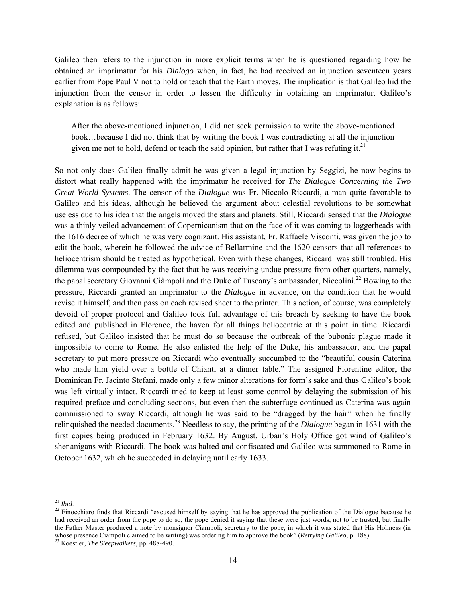Galileo then refers to the injunction in more explicit terms when he is questioned regarding how he obtained an imprimatur for his *Dialogo* when, in fact, he had received an injunction seventeen years earlier from Pope Paul V not to hold or teach that the Earth moves. The implication is that Galileo hid the injunction from the censor in order to lessen the difficulty in obtaining an imprimatur. Galileo's explanation is as follows:

After the above-mentioned injunction, I did not seek permission to write the above-mentioned book…because I did not think that by writing the book I was contradicting at all the injunction given me not to hold, defend or teach the said opinion, but rather that I was refuting it.<sup>21</sup>

So not only does Galileo finally admit he was given a legal injunction by Seggizi, he now begins to distort what really happened with the imprimatur he received for *The Dialogue Concerning the Two Great World Systems*. The censor of the *Dialogue* was Fr. Niccolo Riccardi, a man quite favorable to Galileo and his ideas, although he believed the argument about celestial revolutions to be somewhat useless due to his idea that the angels moved the stars and planets. Still, Riccardi sensed that the *Dialogue* was a thinly veiled advancement of Copernicanism that on the face of it was coming to loggerheads with the 1616 decree of which he was very cognizant. His assistant, Fr. Raffaele Visconti, was given the job to edit the book, wherein he followed the advice of Bellarmine and the 1620 censors that all references to heliocentrism should be treated as hypothetical. Even with these changes, Riccardi was still troubled. His dilemma was compounded by the fact that he was receiving undue pressure from other quarters, namely, the papal secretary Giovanni Ciàmpoli and the Duke of Tuscany's ambassador, Niccolini.<sup>22</sup> Bowing to the pressure, Riccardi granted an imprimatur to the *Dialogue* in advance, on the condition that he would revise it himself, and then pass on each revised sheet to the printer. This action, of course, was completely devoid of proper protocol and Galileo took full advantage of this breach by seeking to have the book edited and published in Florence, the haven for all things heliocentric at this point in time. Riccardi refused, but Galileo insisted that he must do so because the outbreak of the bubonic plague made it impossible to come to Rome. He also enlisted the help of the Duke, his ambassador, and the papal secretary to put more pressure on Riccardi who eventually succumbed to the "beautiful cousin Caterina who made him yield over a bottle of Chianti at a dinner table." The assigned Florentine editor, the Dominican Fr. Jacinto Stefani, made only a few minor alterations for form's sake and thus Galileo's book was left virtually intact. Riccardi tried to keep at least some control by delaying the submission of his required preface and concluding sections, but even then the subterfuge continued as Caterina was again commissioned to sway Riccardi, although he was said to be "dragged by the hair" when he finally relinquished the needed documents.23 Needless to say, the printing of the *Dialogue* began in 1631 with the first copies being produced in February 1632. By August, Urban's Holy Office got wind of Galileo's shenanigans with Riccardi. The book was halted and confiscated and Galileo was summoned to Rome in October 1632, which he succeeded in delaying until early 1633.

 $^{21}$  Ibid.

<sup>&</sup>lt;sup>22</sup> Finocchiaro finds that Riccardi "excused himself by saying that he has approved the publication of the Dialogue because he had received an order from the pope to do so; the pope denied it saying that these were just words, not to be trusted; but finally the Father Master produced a note by monsignor Ciampoli, secretary to the pope, in which it was stated that His Holiness (in whose presence Ciampoli claimed to be writing) was ordering him to approve the book" (*Retrying Galileo*, p. 188). 23 Koestler, *The Sleepwalkers*, pp. 488-490.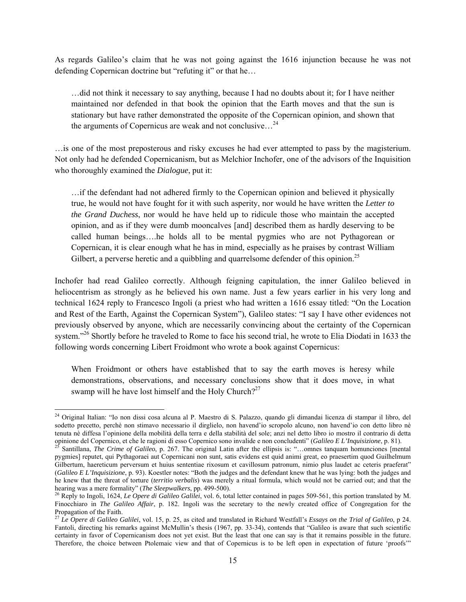As regards Galileo's claim that he was not going against the 1616 injunction because he was not defending Copernican doctrine but "refuting it" or that he…

…did not think it necessary to say anything, because I had no doubts about it; for I have neither maintained nor defended in that book the opinion that the Earth moves and that the sun is stationary but have rather demonstrated the opposite of the Copernican opinion, and shown that the arguments of Copernicus are weak and not conclusive...<sup>24</sup>

…is one of the most preposterous and risky excuses he had ever attempted to pass by the magisterium. Not only had he defended Copernicanism, but as Melchior Inchofer, one of the advisors of the Inquisition who thoroughly examined the *Dialogue*, put it:

…if the defendant had not adhered firmly to the Copernican opinion and believed it physically true, he would not have fought for it with such asperity, nor would he have written the *Letter to the Grand Duchess*, nor would he have held up to ridicule those who maintain the accepted opinion, and as if they were dumb mooncalves [and] described them as hardly deserving to be called human beings….he holds all to be mental pygmies who are not Pythagorean or Copernican, it is clear enough what he has in mind, especially as he praises by contrast William Gilbert, a perverse heretic and a quibbling and quarrelsome defender of this opinion.<sup>25</sup>

Inchofer had read Galileo correctly. Although feigning capitulation, the inner Galileo believed in heliocentrism as strongly as he believed his own name. Just a few years earlier in his very long and technical 1624 reply to Francesco Ingoli (a priest who had written a 1616 essay titled: "On the Location and Rest of the Earth, Against the Copernican System"), Galileo states: "I say I have other evidences not previously observed by anyone, which are necessarily convincing about the certainty of the Copernican system."<sup>26</sup> Shortly before he traveled to Rome to face his second trial, he wrote to Elia Diodati in 1633 the following words concerning Libert Froidmont who wrote a book against Copernicus:

When Froidmont or others have established that to say the earth moves is heresy while demonstrations, observations, and necessary conclusions show that it does move, in what swamp will he have lost himself and the Holy Church?<sup>27</sup>

1

<sup>&</sup>lt;sup>24</sup> Original Italian: "Io non dissi cosa alcuna al P. Maestro di S. Palazzo, quando gli dimandai licenza di stampar il libro, del sodetto precetto, perchè non stimavo necessario il dirglielo, non havend'io scropolo alcuno, non havend'io con detto libro nè tenuta nè diffesa l'opinione della mobilità della terra e della stabilità del sole; anzi nel detto libro io mostro il contrario di detta opinione del Copernico, et che le ragioni di esso Copernico sono invalide e non concludenti" (Galileo E L'Inquisizione, p. 81).<br><sup>25</sup> Santillana, *The Crime of Galileo*, p. 267. The original Latin after the ellipsis is: "..

pygmies] reputet, qui Pythagoraei aut Copernicani non sunt, satis evidens est quid animi great, eo praesertim quod Guilhelmum Gilbertum, haereticum perversum et huius sententiae rixosum et cavillosum patronum, nimio plus laudet ac ceteris praeferat" (*Galileo E L'Inquisizione*, p. 93). Koestler notes: "Both the judges and the defendant knew that he was lying: both the judges and he knew that the threat of torture (*territio verbalis*) was merely a ritual formula, which would not be carried out; and that the

<sup>&</sup>lt;sup>26</sup> Reply to Ingoli, 1624, *Le Opere di Galileo Galilei*, vol. 6, total letter contained in pages 509-561, this portion translated by M. Finocchiaro in *The Galileo Affair*, p. 182. Ingoli was the secretary to the newly created office of Congregation for the Propagation of the Faith.

<sup>27</sup> *Le Opere di Galileo Galilei*, vol. 15, p. 25, as cited and translated in Richard Westfall's *Essays on the Trial of Galileo*, p 24. Fantoli, directing his remarks against McMullin's thesis (1967, pp. 33-34), contends that "Galileo is aware that such scientific certainty in favor of Copernicanism does not yet exist. But the least that one can say is that it remains possible in the future. Therefore, the choice between Ptolemaic view and that of Copernicus is to be left open in expectation of future 'proofs'"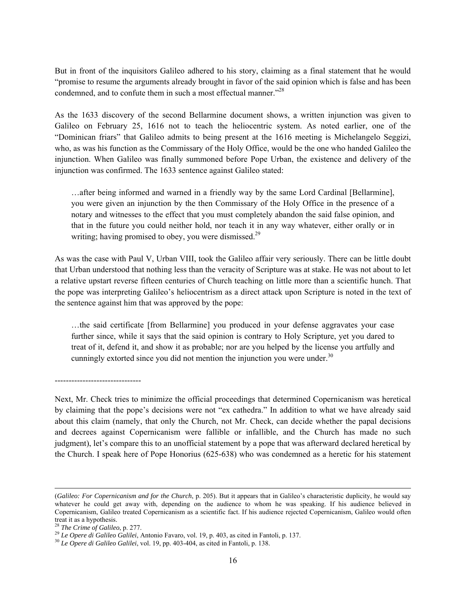But in front of the inquisitors Galileo adhered to his story, claiming as a final statement that he would "promise to resume the arguments already brought in favor of the said opinion which is false and has been condemned, and to confute them in such a most effectual manner."<sup>28</sup>

As the 1633 discovery of the second Bellarmine document shows, a written injunction was given to Galileo on February 25, 1616 not to teach the heliocentric system. As noted earlier, one of the "Dominican friars" that Galileo admits to being present at the 1616 meeting is Michelangelo Seggizi, who, as was his function as the Commissary of the Holy Office, would be the one who handed Galileo the injunction. When Galileo was finally summoned before Pope Urban, the existence and delivery of the injunction was confirmed. The 1633 sentence against Galileo stated:

…after being informed and warned in a friendly way by the same Lord Cardinal [Bellarmine], you were given an injunction by the then Commissary of the Holy Office in the presence of a notary and witnesses to the effect that you must completely abandon the said false opinion, and that in the future you could neither hold, nor teach it in any way whatever, either orally or in writing; having promised to obey, you were dismissed.<sup>29</sup>

As was the case with Paul V, Urban VIII, took the Galileo affair very seriously. There can be little doubt that Urban understood that nothing less than the veracity of Scripture was at stake. He was not about to let a relative upstart reverse fifteen centuries of Church teaching on little more than a scientific hunch. That the pope was interpreting Galileo's heliocentrism as a direct attack upon Scripture is noted in the text of the sentence against him that was approved by the pope:

…the said certificate [from Bellarmine] you produced in your defense aggravates your case further since, while it says that the said opinion is contrary to Holy Scripture, yet you dared to treat of it, defend it, and show it as probable; nor are you helped by the license you artfully and cunningly extorted since you did not mention the injunction you were under.<sup>30</sup>

-------------------------------

Next, Mr. Check tries to minimize the official proceedings that determined Copernicanism was heretical by claiming that the pope's decisions were not "ex cathedra." In addition to what we have already said about this claim (namely, that only the Church, not Mr. Check, can decide whether the papal decisions and decrees against Copernicanism were fallible or infallible, and the Church has made no such judgment), let's compare this to an unofficial statement by a pope that was afterward declared heretical by the Church. I speak here of Pope Honorius (625-638) who was condemned as a heretic for his statement

 <sup>(</sup>*Galileo: For Copernicanism and for the Church*, p. 205). But it appears that in Galileo's characteristic duplicity, he would say whatever he could get away with, depending on the audience to whom he was speaking. If his audience believed in Copernicanism, Galileo treated Copernicanism as a scientific fact. If his audience rejected Copernicanism, Galileo would often

treat it as a hypothesis.<br><sup>28</sup> The Crime of Galileo, p. 277.

<sup>&</sup>lt;sup>29</sup> Le Opere di Galileo Galilei, Antonio Favaro, vol. 19, p. 403, as cited in Fantoli, p. 137.<br><sup>30</sup> Le Opere di Galileo Galilei, vol. 19, pp. 403-404, as cited in Fantoli, p. 138.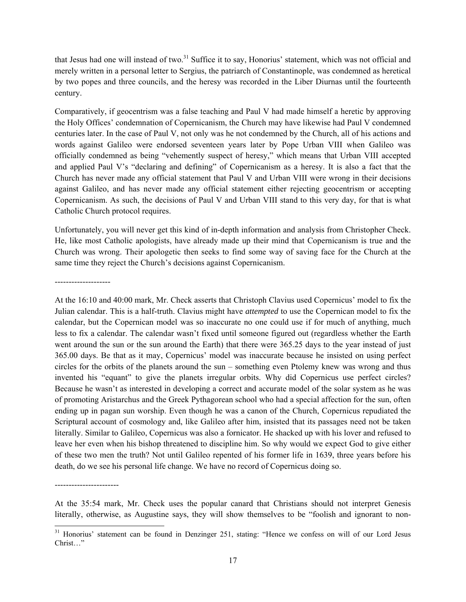that Jesus had one will instead of two.<sup>31</sup> Suffice it to say, Honorius' statement, which was not official and merely written in a personal letter to Sergius, the patriarch of Constantinople, was condemned as heretical by two popes and three councils, and the heresy was recorded in the Liber Diurnas until the fourteenth century.

Comparatively, if geocentrism was a false teaching and Paul V had made himself a heretic by approving the Holy Offices' condemnation of Copernicanism, the Church may have likewise had Paul V condemned centuries later. In the case of Paul V, not only was he not condemned by the Church, all of his actions and words against Galileo were endorsed seventeen years later by Pope Urban VIII when Galileo was officially condemned as being "vehemently suspect of heresy," which means that Urban VIII accepted and applied Paul V's "declaring and defining" of Copernicanism as a heresy. It is also a fact that the Church has never made any official statement that Paul V and Urban VIII were wrong in their decisions against Galileo, and has never made any official statement either rejecting geocentrism or accepting Copernicanism. As such, the decisions of Paul V and Urban VIII stand to this very day, for that is what Catholic Church protocol requires.

Unfortunately, you will never get this kind of in-depth information and analysis from Christopher Check. He, like most Catholic apologists, have already made up their mind that Copernicanism is true and the Church was wrong. Their apologetic then seeks to find some way of saving face for the Church at the same time they reject the Church's decisions against Copernicanism.

--------------------

At the 16:10 and 40:00 mark, Mr. Check asserts that Christoph Clavius used Copernicus' model to fix the Julian calendar. This is a half-truth. Clavius might have *attempted* to use the Copernican model to fix the calendar, but the Copernican model was so inaccurate no one could use if for much of anything, much less to fix a calendar. The calendar wasn't fixed until someone figured out (regardless whether the Earth went around the sun or the sun around the Earth) that there were 365.25 days to the year instead of just 365.00 days. Be that as it may, Copernicus' model was inaccurate because he insisted on using perfect circles for the orbits of the planets around the sun – something even Ptolemy knew was wrong and thus invented his "equant" to give the planets irregular orbits. Why did Copernicus use perfect circles? Because he wasn't as interested in developing a correct and accurate model of the solar system as he was of promoting Aristarchus and the Greek Pythagorean school who had a special affection for the sun, often ending up in pagan sun worship. Even though he was a canon of the Church, Copernicus repudiated the Scriptural account of cosmology and, like Galileo after him, insisted that its passages need not be taken literally. Similar to Galileo, Copernicus was also a fornicator. He shacked up with his lover and refused to leave her even when his bishop threatened to discipline him. So why would we expect God to give either of these two men the truth? Not until Galileo repented of his former life in 1639, three years before his death, do we see his personal life change. We have no record of Copernicus doing so.

-----------------------

l

At the 35:54 mark, Mr. Check uses the popular canard that Christians should not interpret Genesis literally, otherwise, as Augustine says, they will show themselves to be "foolish and ignorant to non-

<sup>&</sup>lt;sup>31</sup> Honorius' statement can be found in Denzinger 251, stating: "Hence we confess on will of our Lord Jesus Christ…"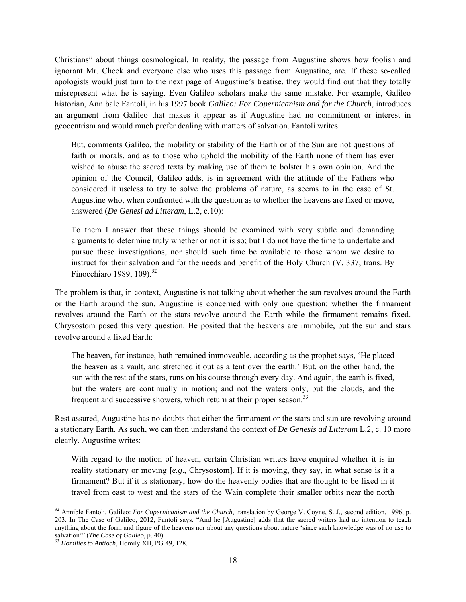Christians" about things cosmological. In reality, the passage from Augustine shows how foolish and ignorant Mr. Check and everyone else who uses this passage from Augustine, are. If these so-called apologists would just turn to the next page of Augustine's treatise, they would find out that they totally misrepresent what he is saying. Even Galileo scholars make the same mistake. For example, Galileo historian, Annibale Fantoli, in his 1997 book *Galileo: For Copernicanism and for the Church*, introduces an argument from Galileo that makes it appear as if Augustine had no commitment or interest in geocentrism and would much prefer dealing with matters of salvation. Fantoli writes:

But, comments Galileo, the mobility or stability of the Earth or of the Sun are not questions of faith or morals, and as to those who uphold the mobility of the Earth none of them has ever wished to abuse the sacred texts by making use of them to bolster his own opinion. And the opinion of the Council, Galileo adds, is in agreement with the attitude of the Fathers who considered it useless to try to solve the problems of nature, as seems to in the case of St. Augustine who, when confronted with the question as to whether the heavens are fixed or move, answered (*De Genesi ad Litteram*, L.2, c.10):

To them I answer that these things should be examined with very subtle and demanding arguments to determine truly whether or not it is so; but I do not have the time to undertake and pursue these investigations, nor should such time be available to those whom we desire to instruct for their salvation and for the needs and benefit of the Holy Church (V, 337; trans. By Finocchiaro 1989, 109 $1^{32}$ 

The problem is that, in context, Augustine is not talking about whether the sun revolves around the Earth or the Earth around the sun. Augustine is concerned with only one question: whether the firmament revolves around the Earth or the stars revolve around the Earth while the firmament remains fixed. Chrysostom posed this very question. He posited that the heavens are immobile, but the sun and stars revolve around a fixed Earth:

The heaven, for instance, hath remained immoveable, according as the prophet says, 'He placed the heaven as a vault, and stretched it out as a tent over the earth.' But, on the other hand, the sun with the rest of the stars, runs on his course through every day. And again, the earth is fixed, but the waters are continually in motion; and not the waters only, but the clouds, and the frequent and successive showers, which return at their proper season.<sup>33</sup>

Rest assured, Augustine has no doubts that either the firmament or the stars and sun are revolving around a stationary Earth. As such, we can then understand the context of *De Genesis ad Litteram* L.2, c. 10 more clearly. Augustine writes:

With regard to the motion of heaven, certain Christian writers have enquired whether it is in reality stationary or moving [*e.g*., Chrysostom]. If it is moving, they say, in what sense is it a firmament? But if it is stationary, how do the heavenly bodies that are thought to be fixed in it travel from east to west and the stars of the Wain complete their smaller orbits near the north

-

<sup>32</sup> Annible Fantoli, Galileo: *For Copernicanism and the Church*, translation by George V. Coyne, S. J., second edition, 1996, p. 203. In The Case of Galileo, 2012, Fantoli says: "And he [Augustine] adds that the sacred writers had no intention to teach anything about the form and figure of the heavens nor about any questions about nature 'since such knowledge was of no use to salvation'" (*The Case of Galileo*, p. 40). 33 *Homilies to Antioch*, Homily XII, PG 49, 128.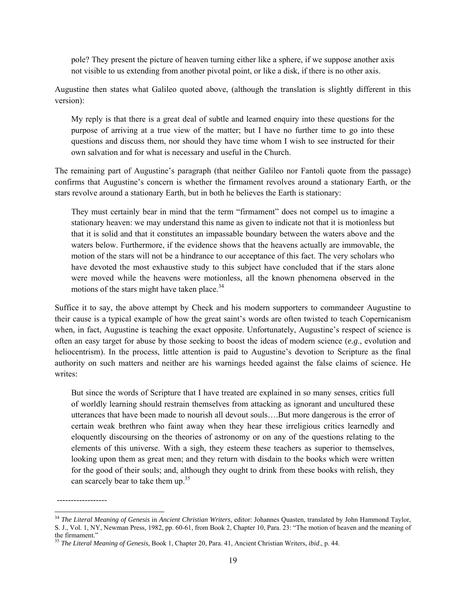pole? They present the picture of heaven turning either like a sphere, if we suppose another axis not visible to us extending from another pivotal point, or like a disk, if there is no other axis.

Augustine then states what Galileo quoted above, (although the translation is slightly different in this version):

My reply is that there is a great deal of subtle and learned enquiry into these questions for the purpose of arriving at a true view of the matter; but I have no further time to go into these questions and discuss them, nor should they have time whom I wish to see instructed for their own salvation and for what is necessary and useful in the Church.

The remaining part of Augustine's paragraph (that neither Galileo nor Fantoli quote from the passage) confirms that Augustine's concern is whether the firmament revolves around a stationary Earth, or the stars revolve around a stationary Earth, but in both he believes the Earth is stationary:

They must certainly bear in mind that the term "firmament" does not compel us to imagine a stationary heaven: we may understand this name as given to indicate not that it is motionless but that it is solid and that it constitutes an impassable boundary between the waters above and the waters below. Furthermore, if the evidence shows that the heavens actually are immovable, the motion of the stars will not be a hindrance to our acceptance of this fact. The very scholars who have devoted the most exhaustive study to this subject have concluded that if the stars alone were moved while the heavens were motionless, all the known phenomena observed in the motions of the stars might have taken place.<sup>34</sup>

Suffice it to say, the above attempt by Check and his modern supporters to commandeer Augustine to their cause is a typical example of how the great saint's words are often twisted to teach Copernicanism when, in fact, Augustine is teaching the exact opposite. Unfortunately, Augustine's respect of science is often an easy target for abuse by those seeking to boost the ideas of modern science (*e.g*., evolution and heliocentrism). In the process, little attention is paid to Augustine's devotion to Scripture as the final authority on such matters and neither are his warnings heeded against the false claims of science. He writes:

But since the words of Scripture that I have treated are explained in so many senses, critics full of worldly learning should restrain themselves from attacking as ignorant and uncultured these utterances that have been made to nourish all devout souls….But more dangerous is the error of certain weak brethren who faint away when they hear these irreligious critics learnedly and eloquently discoursing on the theories of astronomy or on any of the questions relating to the elements of this universe. With a sigh, they esteem these teachers as superior to themselves, looking upon them as great men; and they return with disdain to the books which were written for the good of their souls; and, although they ought to drink from these books with relish, they can scarcely bear to take them up.<sup>35</sup>

------------------

1

<sup>34</sup> *The Literal Meaning of Genesis* in *Ancient Christian Writers*, editor: Johannes Quasten, translated by John Hammond Taylor, S. J., Vol. 1, NY, Newman Press, 1982, pp. 60-61, from Book 2, Chapter 10, Para. 23: "The motion of heaven and the meaning of the firmament."

<sup>35</sup> *The Literal Meaning of Genesis*, Book 1, Chapter 20, Para. 41, Ancient Christian Writers, *ibid*., p. 44.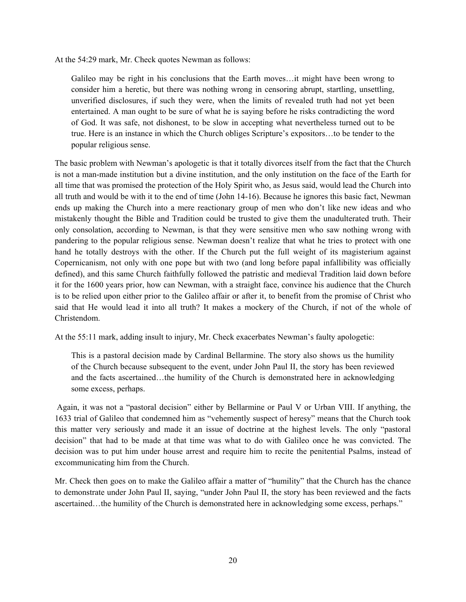At the 54:29 mark, Mr. Check quotes Newman as follows:

Galileo may be right in his conclusions that the Earth moves…it might have been wrong to consider him a heretic, but there was nothing wrong in censoring abrupt, startling, unsettling, unverified disclosures, if such they were, when the limits of revealed truth had not yet been entertained. A man ought to be sure of what he is saying before he risks contradicting the word of God. It was safe, not dishonest, to be slow in accepting what nevertheless turned out to be true. Here is an instance in which the Church obliges Scripture's expositors…to be tender to the popular religious sense.

The basic problem with Newman's apologetic is that it totally divorces itself from the fact that the Church is not a man-made institution but a divine institution, and the only institution on the face of the Earth for all time that was promised the protection of the Holy Spirit who, as Jesus said, would lead the Church into all truth and would be with it to the end of time (John 14-16). Because he ignores this basic fact, Newman ends up making the Church into a mere reactionary group of men who don't like new ideas and who mistakenly thought the Bible and Tradition could be trusted to give them the unadulterated truth. Their only consolation, according to Newman, is that they were sensitive men who saw nothing wrong with pandering to the popular religious sense. Newman doesn't realize that what he tries to protect with one hand he totally destroys with the other. If the Church put the full weight of its magisterium against Copernicanism, not only with one pope but with two (and long before papal infallibility was officially defined), and this same Church faithfully followed the patristic and medieval Tradition laid down before it for the 1600 years prior, how can Newman, with a straight face, convince his audience that the Church is to be relied upon either prior to the Galileo affair or after it, to benefit from the promise of Christ who said that He would lead it into all truth? It makes a mockery of the Church, if not of the whole of Christendom.

At the 55:11 mark, adding insult to injury, Mr. Check exacerbates Newman's faulty apologetic:

This is a pastoral decision made by Cardinal Bellarmine. The story also shows us the humility of the Church because subsequent to the event, under John Paul II, the story has been reviewed and the facts ascertained…the humility of the Church is demonstrated here in acknowledging some excess, perhaps.

 Again, it was not a "pastoral decision" either by Bellarmine or Paul V or Urban VIII. If anything, the 1633 trial of Galileo that condemned him as "vehemently suspect of heresy" means that the Church took this matter very seriously and made it an issue of doctrine at the highest levels. The only "pastoral decision" that had to be made at that time was what to do with Galileo once he was convicted. The decision was to put him under house arrest and require him to recite the penitential Psalms, instead of excommunicating him from the Church.

Mr. Check then goes on to make the Galileo affair a matter of "humility" that the Church has the chance to demonstrate under John Paul II, saying, "under John Paul II, the story has been reviewed and the facts ascertained…the humility of the Church is demonstrated here in acknowledging some excess, perhaps."